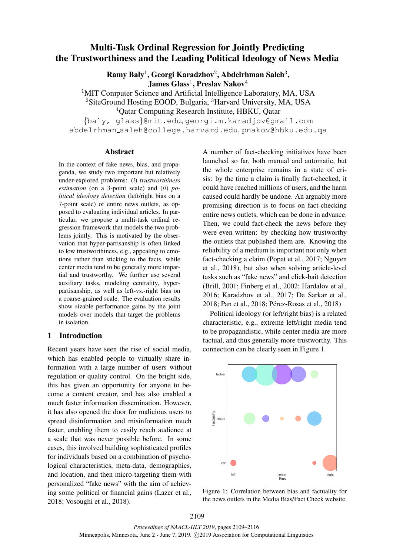# Multi-Task Ordinal Regression for Jointly Predicting the Trustworthiness and the Leading Political Ideology of News Media

 ${\bf R}$ amy Baly $^1$ , Georgi Karadzhov $^2$ , Abdelrhman Saleh $^3,$ 

 $\,$ James Glass $^1\,$ , Preslav Nakov $^4\,$ 

<sup>1</sup>MIT Computer Science and Artificial Intelligence Laboratory, MA, USA

<sup>2</sup>SiteGround Hosting EOOD, Bulgaria, <sup>3</sup>Harvard University, MA, USA

<sup>4</sup>Qatar Computing Research Institute, HBKU, Qatar

{baly, glass}@mit.edu, georgi.m.karadjov@gmail.com abdelrhman saleh@college.harvard.edu, pnakov@hbku.edu.qa

## Abstract

In the context of fake news, bias, and propaganda, we study two important but relatively under-explored problems: (*i*) *trustworthiness estimation* (on a 3-point scale) and (*ii*) *political ideology detection* (left/right bias on a 7-point scale) of entire news outlets, as opposed to evaluating individual articles. In particular, we propose a multi-task ordinal regression framework that models the two problems jointly. This is motivated by the observation that hyper-partisanship is often linked to low trustworthiness, e.g., appealing to emotions rather than sticking to the facts, while center media tend to be generally more impartial and trustworthy. We further use several auxiliary tasks, modeling centrality, hyperpartisanship, as well as left-vs.-right bias on a coarse-grained scale. The evaluation results show sizable performance gains by the joint models over models that target the problems in isolation.

# 1 Introduction

Recent years have seen the rise of social media, which has enabled people to virtually share information with a large number of users without regulation or quality control. On the bright side, this has given an opportunity for anyone to become a content creator, and has also enabled a much faster information dissemination. However, it has also opened the door for malicious users to spread disinformation and misinformation much faster, enabling them to easily reach audience at a scale that was never possible before. In some cases, this involved building sophisticated profiles for individuals based on a combination of psychological characteristics, meta-data, demographics, and location, and then micro-targeting them with personalized "fake news" with the aim of achieving some political or financial gains (Lazer et al., 2018; Vosoughi et al., 2018).

A number of fact-checking initiatives have been launched so far, both manual and automatic, but the whole enterprise remains in a state of crisis: by the time a claim is finally fact-checked, it could have reached millions of users, and the harm caused could hardly be undone. An arguably more promising direction is to focus on fact-checking entire news outlets, which can be done in advance. Then, we could fact-check the news before they were even written: by checking how trustworthy the outlets that published them are. Knowing the reliability of a medium is important not only when fact-checking a claim (Popat et al., 2017; Nguyen et al., 2018), but also when solving article-level tasks such as "fake news" and click-bait detection (Brill, 2001; Finberg et al., 2002; Hardalov et al., 2016; Karadzhov et al., 2017; De Sarkar et al., 2018; Pan et al., 2018; Pérez-Rosas et al., 2018)

Political ideology (or left/right bias) is a related characteristic, e.g., extreme left/right media tend to be propagandistic, while center media are more factual, and thus generally more trustworthy. This connection can be clearly seen in Figure 1.



Figure 1: Correlation between bias and factuality for the news outlets in the Media Bias/Fact Check website.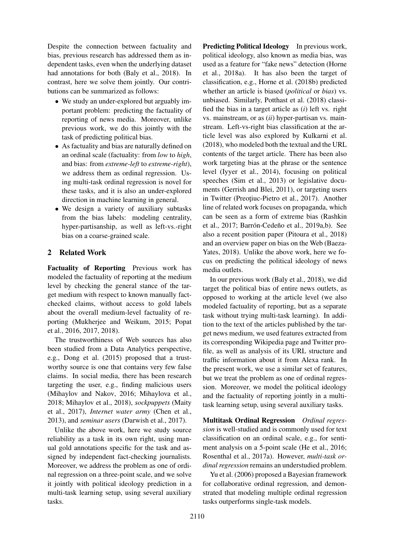Despite the connection between factuality and bias, previous research has addressed them as independent tasks, even when the underlying dataset had annotations for both (Baly et al., 2018). In contrast, here we solve them jointly. Our contributions can be summarized as follows:

- We study an under-explored but arguably important problem: predicting the factuality of reporting of news media. Moreover, unlike previous work, we do this jointly with the task of predicting political bias.
- As factuality and bias are naturally defined on an ordinal scale (factuality: from *low* to *high*, and bias: from *extreme-left* to *extreme-right*), we address them as ordinal regression. Using multi-task ordinal regression is novel for these tasks, and it is also an under-explored direction in machine learning in general.
- We design a variety of auxiliary subtasks from the bias labels: modeling centrality, hyper-partisanship, as well as left-vs.-right bias on a coarse-grained scale.

# 2 Related Work

Factuality of Reporting Previous work has modeled the factuality of reporting at the medium level by checking the general stance of the target medium with respect to known manually factchecked claims, without access to gold labels about the overall medium-level factuality of reporting (Mukherjee and Weikum, 2015; Popat et al., 2016, 2017, 2018).

The trustworthiness of Web sources has also been studied from a Data Analytics perspective, e.g., Dong et al. (2015) proposed that a trustworthy source is one that contains very few false claims. In social media, there has been research targeting the user, e.g., finding malicious users (Mihaylov and Nakov, 2016; Mihaylova et al., 2018; Mihaylov et al., 2018), *sockpuppets* (Maity et al., 2017), *Internet water army* (Chen et al., 2013), and *seminar users* (Darwish et al., 2017).

Unlike the above work, here we study source reliability as a task in its own right, using manual gold annotations specific for the task and assigned by independent fact-checking journalists. Moreover, we address the problem as one of ordinal regression on a three-point scale, and we solve it jointly with political ideology prediction in a multi-task learning setup, using several auxiliary tasks.

Predicting Political Ideology In previous work, political ideology, also known as media bias, was used as a feature for "fake news" detection (Horne et al., 2018a). It has also been the target of classification, e.g., Horne et al. (2018b) predicted whether an article is biased (*political* or *bias*) vs. unbiased. Similarly, Potthast et al. (2018) classified the bias in a target article as (*i*) left vs. right vs. mainstream, or as (*ii*) hyper-partisan vs. mainstream. Left-vs-right bias classification at the article level was also explored by Kulkarni et al. (2018), who modeled both the textual and the URL contents of the target article. There has been also work targeting bias at the phrase or the sentence level (Iyyer et al., 2014), focusing on political speeches (Sim et al., 2013) or legislative documents (Gerrish and Blei, 2011), or targeting users in Twitter (Preoțiuc-Pietro et al., 2017). Another line of related work focuses on propaganda, which can be seen as a form of extreme bias (Rashkin et al., 2017; Barrón-Cedeño et al., 2019a,b). See also a recent position paper (Pitoura et al., 2018) and an overview paper on bias on the Web (Baeza-Yates, 2018). Unlike the above work, here we focus on predicting the political ideology of news media outlets.

In our previous work (Baly et al., 2018), we did target the political bias of entire news outlets, as opposed to working at the article level (we also modeled factuality of reporting, but as a separate task without trying multi-task learning). In addition to the text of the articles published by the target news medium, we used features extracted from its corresponding Wikipedia page and Twitter profile, as well as analysis of its URL structure and traffic information about it from Alexa rank. In the present work, we use a similar set of features, but we treat the problem as one of ordinal regression. Moreover, we model the political ideology and the factuality of reporting jointly in a multitask learning setup, using several auxiliary tasks.

Multitask Ordinal Regression *Ordinal regression* is well-studied and is commonly used for text classification on an ordinal scale, e.g., for sentiment analysis on a 5-point scale (He et al., 2016; Rosenthal et al., 2017a). However, *multi-task ordinal regression* remains an understudied problem.

Yu et al. (2006) proposed a Bayesian framework for collaborative ordinal regression, and demonstrated that modeling multiple ordinal regression tasks outperforms single-task models.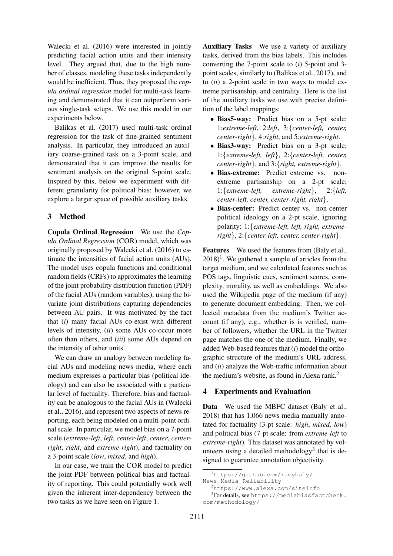Walecki et al. (2016) were interested in jointly predicting facial action units and their intensity level. They argued that, due to the high number of classes, modeling these tasks independently would be inefficient. Thus, they proposed the *copula ordinal regression* model for multi-task learning and demonstrated that it can outperform various single-task setups. We use this model in our experiments below.

Balikas et al. (2017) used multi-task ordinal regression for the task of fine-grained sentiment analysis. In particular, they introduced an auxiliary coarse-grained task on a 3-point scale, and demonstrated that it can improve the results for sentiment analysis on the original 5-point scale. Inspired by this, below we experiment with different granularity for political bias; however, we explore a larger space of possible auxiliary tasks.

## 3 Method

Copula Ordinal Regression We use the *Copula Ordinal Regression* (COR) model, which was originally proposed by Walecki et al. (2016) to estimate the intensities of facial action units (AUs). The model uses copula functions and conditional random fields (CRFs) to approximates the learning of the joint probability distribution function (PDF) of the facial AUs (random variables), using the bivariate joint distributions capturing dependencies between AU pairs. It was motivated by the fact that (*i*) many facial AUs co-exist with different levels of intensity, (*ii*) some AUs co-occur more often than others, and (*iii*) some AUs depend on the intensity of other units.

We can draw an analogy between modeling facial AUs and modeling news media, where each medium expresses a particular bias (political ideology) and can also be associated with a particular level of factuality. Therefore, bias and factuality can be analogous to the facial AUs in (Walecki et al., 2016), and represent two aspects of news reporting, each being modeled on a multi-point ordinal scale. In particular, we model bias on a 7-point scale (*extreme-left*, *left*, *center-left*, *center*, *centerright*, *right*, and *extreme-right*), and factuality on a 3-point scale (*low*, *mixed*, and *high*).

In our case, we train the COR model to predict the joint PDF between political bias and factuality of reporting. This could potentially work well given the inherent inter-dependency between the two tasks as we have seen on Figure 1.

Auxiliary Tasks We use a variety of auxiliary tasks, derived from the bias labels. This includes converting the 7-point scale to (*i*) 5-point and 3 point scales, similarly to (Balikas et al., 2017), and to (*ii*) a 2-point scale in two ways to model extreme partisanship, and centrality. Here is the list of the auxiliary tasks we use with precise definition of the label mappings:

- Bias5-way: Predict bias on a 5-pt scale; 1:*extreme-left*, 2:*left*, 3:{*center-left, center, center-right*}, 4:*right*, and 5:*extreme-right*.
- Bias3-way: Predict bias on a 3-pt scale; 1:{*extreme-left, left*}, 2:{*center-left, center, center-right*}, and 3:{*right, extreme-right*}.
- Bias-extreme: Predict extreme vs. nonextreme partisanship on a 2-pt scale; 1:{*extreme-left, extreme-right*}, 2:{*left, center-left, center, center-right, right*}.
- Bias-center: Predict center vs. non-center political ideology on a 2-pt scale, ignoring polarity: 1:{*extreme-left, left, right, extremeright*}, 2:{*center-left, center, center-right*}.

Features We used the features from (Baly et al.,  $2018$ <sup>1</sup>. We gathered a sample of articles from the target medium, and we calculated features such as POS tags, linguistic cues, sentiment scores, complexity, morality, as well as embeddings. We also used the Wikipedia page of the medium (if any) to generate document embedding. Then, we collected metadata from the medium's Twitter account (if any), e.g., whether is is verified, number of followers, whether the URL in the Twitter page matches the one of the medium. Finally, we added Web-based features that (*i*) model the orthographic structure of the medium's URL address, and (*ii*) analyze the Web-traffic information about the medium's website, as found in Alexa rank. $<sup>2</sup>$ </sup>

## 4 Experiments and Evaluation

Data We used the MBFC dataset (Baly et al., 2018) that has 1,066 news media manually annotated for factuality (3-pt scale: *high*, *mixed*, *low*) and political bias (7-pt scale: from *extreme-left* to *extreme-right*). This dataset was annotated by volunteers using a detailed methodology<sup>3</sup> that is designed to guarantee annotation objectivity.

<sup>1</sup>https://github.com/ramybaly/ News-Media-Reliability

<sup>2</sup>https://www.alexa.com/siteinfo

<sup>3</sup> For details, see https://mediabiasfactcheck. com/methodology/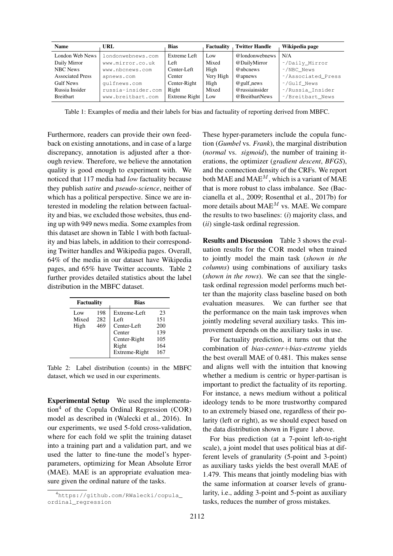| <b>Name</b>             | URL                | <b>Bias</b>   | Factuality | <b>Twitter Handle</b> | Wikipedia page     |
|-------------------------|--------------------|---------------|------------|-----------------------|--------------------|
| London Web News         | londonwebnews.com  | Extreme Left  | Low        | @londonwebnews        | N/A                |
| Daily Mirror            | www.mirror.co.uk   | Left          | Mixed      | @DailyMirror          | ~/Daily Mirror     |
| <b>NBC</b> News         | www.nbcnews.com    | Center-Left   | High       | @nbcnews              | ~/NBC News         |
| <b>Associated Press</b> | apnews.com         | Center        | Very High  | @apnews               | ~/Associated Press |
| <b>Gulf News</b>        | qulfnews.com       | Center-Right  | High       | $@$ gulf_news         | ~/Gulf News        |
| Russia Insider          | russia-insider.com | Right         | Mixed      | $@$ russiainsider     | ~/Russia Insider   |
| <b>Breithart</b>        | www.breitbart.com  | Extreme Right | Low        | @BreitbartNews        | ~/Breitbart News   |

Table 1: Examples of media and their labels for bias and factuality of reporting derived from MBFC.

Furthermore, readers can provide their own feedback on existing annotations, and in case of a large discrepancy, annotation is adjusted after a thorough review. Therefore, we believe the annotation quality is good enough to experiment with. We noticed that 117 media had *low* factuality because they publish *satire* and *pseudo-science*, neither of which has a political perspective. Since we are interested in modeling the relation between factuality and bias, we excluded those websites, thus ending up with 949 news media. Some examples from this dataset are shown in Table 1 with both factuality and bias labels, in addition to their corresponding Twitter handles and Wikipedia pages. Overall, 64% of the media in our dataset have Wikipedia pages, and 65% have Twitter accounts. Table 2 further provides detailed statistics about the label distribution in the MBFC dataset.

| Factuality           |                   | <b>Bias</b>                                                            |                                       |  |  |
|----------------------|-------------------|------------------------------------------------------------------------|---------------------------------------|--|--|
| Low<br>Mixed<br>High | 198<br>282<br>469 | Extreme-Left<br>Left<br>Center-Left<br>Center<br>Center-Right<br>Right | 23<br>151<br>200<br>139<br>105<br>164 |  |  |
|                      |                   | Extreme-Right                                                          | 167                                   |  |  |

Table 2: Label distribution (counts) in the MBFC dataset, which we used in our experiments.

Experimental Setup We used the implementation<sup>4</sup> of the Copula Ordinal Regression  $(COR)$ model as described in (Walecki et al., 2016). In our experiments, we used 5-fold cross-validation, where for each fold we split the training dataset into a training part and a validation part, and we used the latter to fine-tune the model's hyperparameters, optimizing for Mean Absolute Error (MAE). MAE is an appropriate evaluation measure given the ordinal nature of the tasks.

These hyper-parameters include the copula function (*Gumbel* vs. *Frank*), the marginal distribution (*normal* vs. *sigmoid*), the number of training iterations, the optimizer (*gradient descent*, *BFGS*), and the connection density of the CRFs. We report both MAE and MAE<sup>M</sup>, which is a variant of MAE that is more robust to class imbalance. See (Baccianella et al., 2009; Rosenthal et al., 2017b) for more details about  $MAE^M$  vs. MAE. We compare the results to two baselines: (*i*) majority class, and (*ii*) single-task ordinal regression.

Results and Discussion Table 3 shows the evaluation results for the COR model when trained to jointly model the main task (*shown in the columns*) using combinations of auxiliary tasks (*shown in the rows*). We can see that the singletask ordinal regression model performs much better than the majority class baseline based on both evaluation measures. We can further see that the performance on the main task improves when jointly modeling several auxiliary tasks. This improvement depends on the auxiliary tasks in use.

For factuality prediction, it turns out that the combination of *bias-center*+*bias-extreme* yields the best overall MAE of 0.481. This makes sense and aligns well with the intuition that knowing whether a medium is centric or hyper-partisan is important to predict the factuality of its reporting. For instance, a news medium without a political ideology tends to be more trustworthy compared to an extremely biased one, regardless of their polarity (left or right), as we should expect based on the data distribution shown in Figure 1 above.

For bias prediction (at a 7-point left-to-right scale), a joint model that uses political bias at different levels of granularity (5-point and 3-point) as auxiliary tasks yields the best overall MAE of 1.479. This means that jointly modeling bias with the same information at coarser levels of granularity, i.e., adding 3-point and 5-point as auxiliary tasks, reduces the number of gross mistakes.

<sup>4</sup>https://github.com/RWalecki/copula\_ ordinal\_regression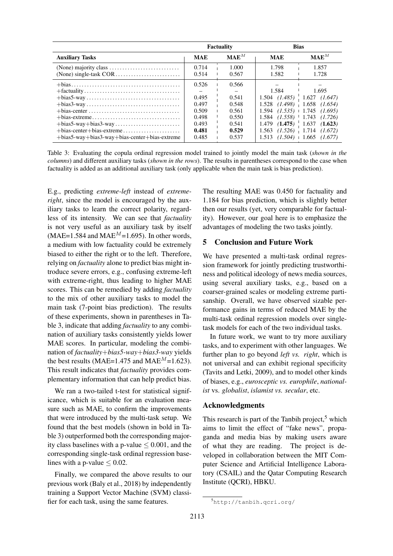|                                                                                                                                                                                                                                                            | <b>Factuality</b>                                                    |                                                                      | <b>Bias</b>                                                   |                                                                                                                                                                                                                                   |
|------------------------------------------------------------------------------------------------------------------------------------------------------------------------------------------------------------------------------------------------------------|----------------------------------------------------------------------|----------------------------------------------------------------------|---------------------------------------------------------------|-----------------------------------------------------------------------------------------------------------------------------------------------------------------------------------------------------------------------------------|
| <b>Auxiliary Tasks</b>                                                                                                                                                                                                                                     | <b>MAE</b>                                                           | MAE <sup>M</sup>                                                     | <b>MAE</b>                                                    | $\mathbf{MAE}^{M}$                                                                                                                                                                                                                |
|                                                                                                                                                                                                                                                            | 0.714<br>0.514                                                       | 1.000<br>0.567                                                       | 1.798<br>1.582                                                | 1.857<br>1.728                                                                                                                                                                                                                    |
| $+bias \ldots \ldots \ldots \ldots \ldots \ldots \ldots \ldots \ldots \ldots \ldots \ldots \ldots$<br>$+bias-center \dots \dots \dots \dots \dots \dots \dots \dots \dots \dots \dots$<br>$+ bias5$ -way $+ bias3$ -way $+ bias$ -center $+ bias$ -extreme | 0.526<br>0.495<br>0.497<br>0.509<br>0.498<br>0.493<br>0.481<br>0.485 | 0.566<br>0.541<br>0.548<br>0.561<br>0.550<br>0.541<br>0.529<br>0.537 | 1.584<br>1.594<br>1.584<br>(1.475)<br>1.479<br>1.563<br>1.513 | 1.695<br>$1.504$ $(1.485)$ $1.627$ $(1.647)$<br>$1.528$ $(1.498)$ $1.658$ $(1.654)$<br>$(1.535) + 1.745$ $(1.695)$<br>$(1.558)$   1.743 $(1.726)$<br>1.637<br>(1.623)<br>$(1.526)$ 1.714 $(1.672)$<br>$(1.504) + 1.665$ $(1.677)$ |

Table 3: Evaluating the copula ordinal regression model trained to jointly model the main task (*shown in the columns*) and different auxiliary tasks (*shown in the rows*). The results in parentheses correspond to the case when factuality is added as an additional auxiliary task (only applicable when the main task is bias prediction).

E.g., predicting *extreme-left* instead of *extremeright*, since the model is encouraged by the auxiliary tasks to learn the correct polarity, regardless of its intensity. We can see that *factuality* is not very useful as an auxiliary task by itself (MAE=1.584 and MAE<sup>M</sup>=1.695). In other words, a medium with low factuality could be extremely biased to either the right or to the left. Therefore, relying on *factuality* alone to predict bias might introduce severe errors, e.g., confusing extreme-left with extreme-right, thus leading to higher MAE scores. This can be remedied by adding *factuality* to the mix of other auxiliary tasks to model the main task (7-point bias prediction). The results of these experiments, shown in parentheses in Table 3, indicate that adding *factuality* to any combination of auxiliary tasks consistently yields lower MAE scores. In particular, modeling the combination of *factuality*+*bias5-way*+*bias3-way* yields the best results (MAE=1.475 and MAE<sup>M</sup>=1.623). This result indicates that *factuality* provides complementary information that can help predict bias.

We ran a two-tailed t-test for statistical significance, which is suitable for an evaluation measure such as MAE, to confirm the improvements that were introduced by the multi-task setup. We found that the best models (shown in bold in Table 3) outperformed both the corresponding majority class baselines with a p-value  $\leq 0.001$ , and the corresponding single-task ordinal regression baselines with a p-value  $\leq 0.02$ .

Finally, we compared the above results to our previous work (Baly et al., 2018) by independently training a Support Vector Machine (SVM) classifier for each task, using the same features.

The resulting MAE was 0.450 for factuality and 1.184 for bias prediction, which is slightly better then our results (yet, very comparable for factuality). However, our goal here is to emphasize the advantages of modeling the two tasks jointly.

## 5 Conclusion and Future Work

We have presented a multi-task ordinal regression framework for jointly predicting trustworthiness and political ideology of news media sources, using several auxiliary tasks, e.g., based on a coarser-grained scales or modeling extreme partisanship. Overall, we have observed sizable performance gains in terms of reduced MAE by the multi-task ordinal regression models over singletask models for each of the two individual tasks.

In future work, we want to try more auxiliary tasks, and to experiment with other languages. We further plan to go beyond *left vs. right*, which is not universal and can exhibit regional specificity (Tavits and Letki, 2009), and to model other kinds of biases, e.g., *eurosceptic vs. europhile*, *nationalist* vs. *globalist*, *islamist vs. secular*, etc.

#### Acknowledgments

This research is part of the Tanbih project, $5$  which aims to limit the effect of "fake news", propaganda and media bias by making users aware of what they are reading. The project is developed in collaboration between the MIT Computer Science and Artificial Intelligence Laboratory (CSAIL) and the Qatar Computing Research Institute (QCRI), HBKU.

<sup>5</sup>http://tanbih.qcri.org/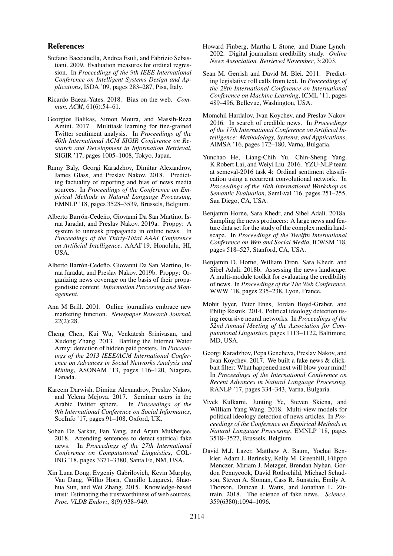#### References

- Stefano Baccianella, Andrea Esuli, and Fabrizio Sebastiani. 2009. Evaluation measures for ordinal regression. In *Proceedings of the 9th IEEE International Conference on Intelligent Systems Design and Applications*, ISDA '09, pages 283–287, Pisa, Italy.
- Ricardo Baeza-Yates. 2018. Bias on the web. *Commun. ACM*, 61(6):54–61.
- Georgios Balikas, Simon Moura, and Massih-Reza Amini. 2017. Multitask learning for fine-grained Twitter sentiment analysis. In *Proceedings of the 40th International ACM SIGIR Conference on Research and Development in Information Retrieval*, SIGIR '17, pages 1005–1008, Tokyo, Japan.
- Ramy Baly, Georgi Karadzhov, Dimitar Alexandrov, James Glass, and Preslav Nakov. 2018. Predicting factuality of reporting and bias of news media sources. In *Proceedings of the Conference on Empirical Methods in Natural Language Processing*, EMNLP '18, pages 3528–3539, Brussels, Belgium.
- Alberto Barrón-Cedeño, Giovanni Da San Martino, Israa Jaradat, and Preslav Nakov. 2019a. Proppy: A system to unmask propaganda in online news. In *Proceedings of the Thirty-Third AAAI Conference on Artificial Intelligence*, AAAI'19, Honolulu, HI, USA.
- Alberto Barrón-Cedeño, Giovanni Da San Martino, Israa Jaradat, and Preslav Nakov. 2019b. Proppy: Organizing news coverage on the basis of their propagandistic content. *Information Processing and Management*.
- Ann M Brill. 2001. Online journalists embrace new marketing function. *Newspaper Research Journal*, 22(2):28.
- Cheng Chen, Kui Wu, Venkatesh Srinivasan, and Xudong Zhang. 2013. Battling the Internet Water Army: detection of hidden paid posters. In *Proceedings of the 2013 IEEE/ACM International Conference on Advances in Social Networks Analysis and Mining*, ASONAM '13, pages 116–120, Niagara, Canada.
- Kareem Darwish, Dimitar Alexandrov, Preslav Nakov, and Yelena Mejova. 2017. Seminar users in the Arabic Twitter sphere. In *Proceedings of the 9th International Conference on Social Informatics*, SocInfo '17, pages 91–108, Oxford, UK.
- Sohan De Sarkar, Fan Yang, and Arjun Mukherjee. 2018. Attending sentences to detect satirical fake news. In *Proceedings of the 27th International Conference on Computational Linguistics*, COL-ING '18, pages 3371–3380, Santa Fe, NM, USA.
- Xin Luna Dong, Evgeniy Gabrilovich, Kevin Murphy, Van Dang, Wilko Horn, Camillo Lugaresi, Shaohua Sun, and Wei Zhang. 2015. Knowledge-based trust: Estimating the trustworthiness of web sources. *Proc. VLDB Endow.*, 8(9):938–949.
- Howard Finberg, Martha L Stone, and Diane Lynch. 2002. Digital journalism credibility study. *Online News Association. Retrieved November*, 3:2003.
- Sean M. Gerrish and David M. Blei. 2011. Predicting legislative roll calls from text. In *Proceedings of the 28th International Conference on International Conference on Machine Learning*, ICML '11, pages 489–496, Bellevue, Washington, USA.
- Momchil Hardalov, Ivan Koychev, and Preslav Nakov. 2016. In search of credible news. In *Proceedings of the 17th International Conference on Artificial Intelligence: Methodology, Systems, and Applications*, AIMSA '16, pages 172–180, Varna, Bulgaria.
- Yunchao He, Liang-Chih Yu, Chin-Sheng Yang, K Robert Lai, and Weiyi Liu. 2016. YZU-NLP team at semeval-2016 task 4: Ordinal sentiment classification using a recurrent convolutional network. In *Proceedings of the 10th International Workshop on Semantic Evaluation*, SemEval '16, pages 251–255, San Diego, CA, USA.
- Benjamin Horne, Sara Khedr, and Sibel Adali. 2018a. Sampling the news producers: A large news and feature data set for the study of the complex media landscape. In *Proceedings of the Twelfth International Conference on Web and Social Media*, ICWSM '18, pages 518–527, Stanford, CA, USA.
- Benjamin D. Horne, William Dron, Sara Khedr, and Sibel Adali. 2018b. Assessing the news landscape: A multi-module toolkit for evaluating the credibility of news. In *Proceedings of the The Web Conference*, WWW '18, pages 235–238, Lyon, France.
- Mohit Iyyer, Peter Enns, Jordan Boyd-Graber, and Philip Resnik. 2014. Political ideology detection using recursive neural networks. In *Proceedings of the 52nd Annual Meeting of the Association for Computational Linguistics*, pages 1113–1122, Baltimore, MD, USA.
- Georgi Karadzhov, Pepa Gencheva, Preslav Nakov, and Ivan Koychev. 2017. We built a fake news & clickbait filter: What happened next will blow your mind! In *Proceedings of the International Conference on Recent Advances in Natural Language Processing*, RANLP '17, pages 334–343, Varna, Bulgaria.
- Vivek Kulkarni, Junting Ye, Steven Skiena, and William Yang Wang. 2018. Multi-view models for political ideology detection of news articles. In *Proceedings of the Conference on Empirical Methods in Natural Language Processing*, EMNLP '18, pages 3518–3527, Brussels, Belgium.
- David M.J. Lazer, Matthew A. Baum, Yochai Benkler, Adam J. Berinsky, Kelly M. Greenhill, Filippo Menczer, Miriam J. Metzger, Brendan Nyhan, Gordon Pennycook, David Rothschild, Michael Schudson, Steven A. Sloman, Cass R. Sunstein, Emily A. Thorson, Duncan J. Watts, and Jonathan L. Zittrain. 2018. The science of fake news. *Science*, 359(6380):1094–1096.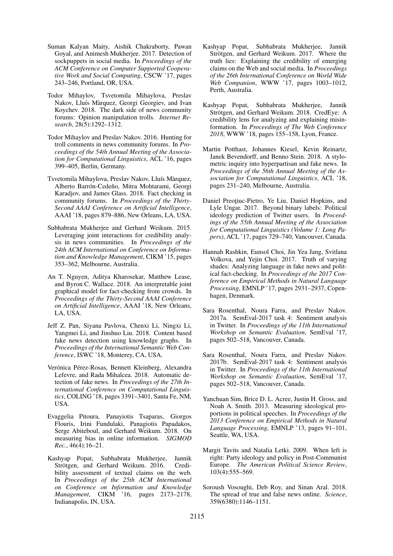- Suman Kalyan Maity, Aishik Chakraborty, Pawan Goyal, and Animesh Mukherjee. 2017. Detection of sockpuppets in social media. In *Proceedings of the ACM Conference on Computer Supported Cooperative Work and Social Computing*, CSCW '17, pages 243–246, Portland, OR, USA.
- Todor Mihaylov, Tsvetomila Mihaylova, Preslav Nakov, Lluís Màrquez, Georgi Georgiev, and Ivan Koychev. 2018. The dark side of news community forums: Opinion manipulation trolls. *Internet Research*, 28(5):1292–1312.
- Todor Mihaylov and Preslav Nakov. 2016. Hunting for troll comments in news community forums. In *Proceedings of the 54th Annual Meeting of the Association for Computational Linguistics*, ACL '16, pages 399–405, Berlin, Germany.
- Tsvetomila Mihaylova, Preslav Nakov, Lluís Màrquez, Alberto Barrón-Cedeño, Mitra Mohtarami, Georgi Karadjov, and James Glass. 2018. Fact checking in community forums. In *Proceedings of the Thirty-Second AAAI Conference on Artificial Intelligence*, AAAI '18, pages 879–886, New Orleans, LA, USA.
- Subhabrata Mukherjee and Gerhard Weikum. 2015. Leveraging joint interactions for credibility analysis in news communities. In *Proceedings of the 24th ACM International on Conference on Information and Knowledge Management*, CIKM '15, pages 353–362, Melbourne, Australia.
- An T. Nguyen, Aditya Kharosekar, Matthew Lease, and Byron C. Wallace. 2018. An interpretable joint graphical model for fact-checking from crowds. In *Proceedings of the Thirty-Second AAAI Conference on Artificial Intelligence*, AAAI '18, New Orleans, LA, USA.
- Jeff Z. Pan, Siyana Pavlova, Chenxi Li, Ningxi Li, Yangmei Li, and Jinshuo Liu. 2018. Content based fake news detection using knowledge graphs. In *Proceedings of the International Semantic Web Conference*, ISWC '18, Monterey, CA, USA.
- Verónica Pérez-Rosas, Bennett Kleinberg, Alexandra Lefevre, and Rada Mihalcea. 2018. Automatic detection of fake news. In *Proceedings of the 27th International Conference on Computational Linguistics*, COLING '18, pages 3391–3401, Santa Fe, NM, USA.
- Evaggelia Pitoura, Panayiotis Tsaparas, Giorgos Flouris, Irini Fundulaki, Panagiotis Papadakos, Serge Abiteboul, and Gerhard Weikum. 2018. On measuring bias in online information. *SIGMOD Rec.*, 46(4):16–21.
- Kashyap Popat, Subhabrata Mukherjee, Jannik Strötgen, and Gerhard Weikum. 2016. Credibility assessment of textual claims on the web. In *Proceedings of the 25th ACM International on Conference on Information and Knowledge Management*, CIKM '16, pages 2173–2178, Indianapolis, IN, USA.
- Kashyap Popat, Subhabrata Mukherjee, Jannik Strötgen, and Gerhard Weikum. 2017. Where the truth lies: Explaining the credibility of emerging claims on the Web and social media. In *Proceedings of the 26th International Conference on World Wide Web Companion*, WWW '17, pages 1003–1012, Perth, Australia.
- Kashyap Popat, Subhabrata Mukherjee, Jannik Strötgen, and Gerhard Weikum. 2018. CredEye: A credibility lens for analyzing and explaining misinformation. In *Proceedings of The Web Conference 2018*, WWW '18, pages 155–158, Lyon, France.
- Martin Potthast, Johannes Kiesel, Kevin Reinartz, Janek Bevendorff, and Benno Stein. 2018. A stylometric inquiry into hyperpartisan and fake news. In *Proceedings of the 56th Annual Meeting of the Association for Computational Linguistics*, ACL '18, pages 231–240, Melbourne, Australia.
- Daniel Preoțiuc-Pietro, Ye Liu, Daniel Hopkins, and Lyle Ungar. 2017. Beyond binary labels: Political ideology prediction of Twitter users. In *Proceedings of the 55th Annual Meeting of the Association for Computational Linguistics (Volume 1: Long Papers)*, ACL '17, pages 729–740, Vancouver, Canada.
- Hannah Rashkin, Eunsol Choi, Jin Yea Jang, Svitlana Volkova, and Yejin Choi. 2017. Truth of varying shades: Analyzing language in fake news and political fact-checking. In *Proceedings of the 2017 Conference on Empirical Methods in Natural Language Processing*, EMNLP '17, pages 2931–2937, Copenhagen, Denmark.
- Sara Rosenthal, Noura Farra, and Preslav Nakov. 2017a. SemEval-2017 task 4: Sentiment analysis in Twitter. In *Proceedings of the 11th International Workshop on Semantic Evaluation*, SemEval '17, pages 502–518, Vancouver, Canada.
- Sara Rosenthal, Noura Farra, and Preslav Nakov. 2017b. SemEval-2017 task 4: Sentiment analysis in Twitter. In *Proceedings of the 11th International Workshop on Semantic Evaluation*, SemEval '17, pages 502–518, Vancouver, Canada.
- Yanchuan Sim, Brice D. L. Acree, Justin H. Gross, and Noah A. Smith. 2013. Measuring ideological proportions in political speeches. In *Proceedings of the 2013 Conference on Empirical Methods in Natural Language Processing*, EMNLP '13, pages 91–101, Seattle, WA, USA.
- Margit Tavits and Natalia Letki. 2009. When left is right: Party ideology and policy in Post-Communist Europe. *The American Political Science Review*, 103(4):555–569.
- Soroush Vosoughi, Deb Roy, and Sinan Aral. 2018. The spread of true and false news online. *Science*, 359(6380):1146–1151.